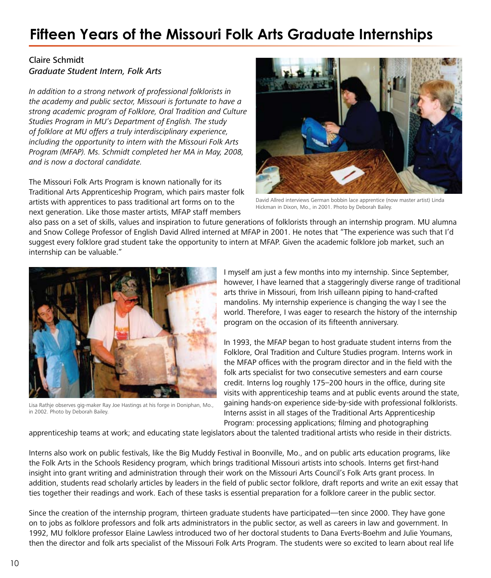## **Fifteen Years of the Missouri Folk Arts Graduate Internships**

## Claire Schmidt Graduate Student Intern, Folk Arts

In addition to a strong network of professional folklorists in the academy and public sector, Missouri is fortunate to have a strong academic program of Folklore, Oral Tradition and Culture Studies Program in MU's Department of English. The study of folklore at MU offers a truly interdisciplinary experience, including the opportunity to intern with the Missouri Folk Arts Program (MFAP). Ms. Schmidt completed her MA in May, 2008, and is now a doctoral candidate.

The Missouri Folk Arts Program is known nationally for its Traditional Arts Apprenticeship Program, which pairs master folk artists with apprentices to pass traditional art forms on to the next generation. Like those master artists, MFAP staff members



David Allred interviews German bobbin lace apprentice (now master artist) Linda Hickman in Dixon, Mo., in 2001. Photo by Deborah Bailey.

also pass on a set of skills, values and inspiration to future generations of folklorists through an internship program. MU alumna and Snow College Professor of English David Allred interned at MFAP in 2001. He notes that "The experience was such that I'd suggest every folklore grad student take the opportunity to intern at MFAP. Given the academic folklore job market, such an internship can be valuable."



Lisa Rathje observes gig-maker Ray Joe Hastings at his forge in Doniphan, Mo., in 2002. Photo by Deborah Bailey.

I myself am just a few months into my internship. Since September, however, I have learned that a staggeringly diverse range of traditional arts thrive in Missouri, from Irish uilleann piping to hand-crafted mandolins. My internship experience is changing the way I see the world. Therefore, I was eager to research the history of the internship program on the occasion of its fifteenth anniversary.

In 1993, the MFAP began to host graduate student interns from the Folklore, Oral Tradition and Culture Studies program. Interns work in the MFAP offices with the program director and in the field with the folk arts specialist for two consecutive semesters and earn course credit. Interns log roughly 175–200 hours in the office, during site visits with apprenticeship teams and at public events around the state, gaining hands-on experience side-by-side with professional folklorists. Interns assist in all stages of the Traditional Arts Apprenticeship Program: processing applications; filming and photographing

apprenticeship teams at work; and educating state legislators about the talented traditional artists who reside in their districts.

Interns also work on public festivals, like the Big Muddy Festival in Boonville, Mo., and on public arts education programs, like the Folk Arts in the Schools Residency program, which brings traditional Missouri artists into schools. Interns get first-hand insight into grant writing and administration through their work on the Missouri Arts Council's Folk Arts grant process. In addition, students read scholarly articles by leaders in the field of public sector folklore, draft reports and write an exit essay that ties together their readings and work. Each of these tasks is essential preparation for a folklore career in the public sector.

Since the creation of the internship program, thirteen graduate students have participated—ten since 2000. They have gone on to jobs as folklore professors and folk arts administrators in the public sector, as well as careers in law and government. In 1992, MU folklore professor Elaine Lawless introduced two of her doctoral students to Dana Everts-Boehm and Julie Youmans, then the director and folk arts specialist of the Missouri Folk Arts Program. The students were so excited to learn about real life